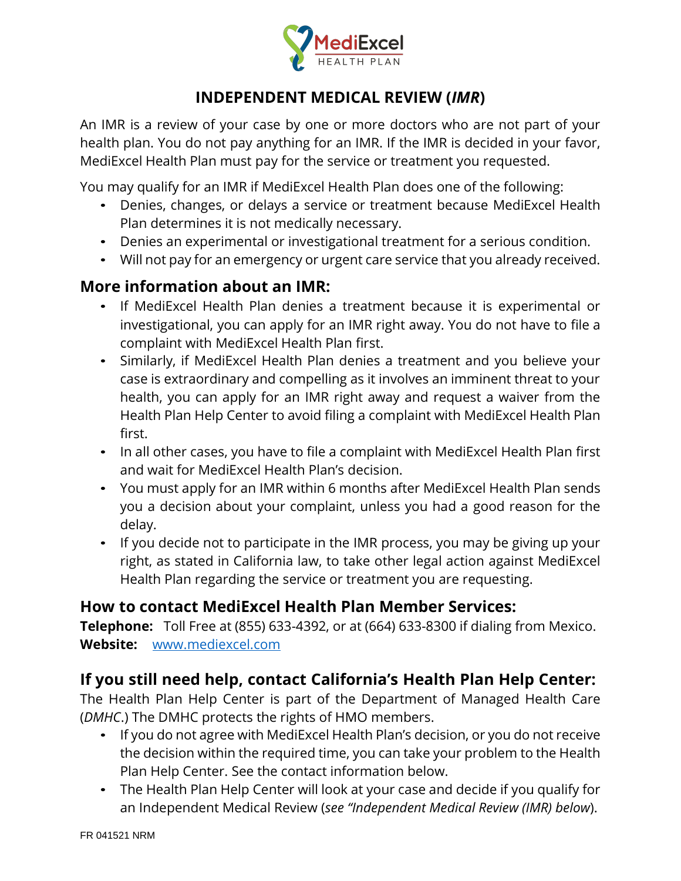

## **INDEPENDENT MEDICAL REVIEW (***IMR***)**

An IMR is a review of your case by one or more doctors who are not part of your health plan. You do not pay anything for an IMR. If the IMR is decided in your favor, MediExcel Health Plan must pay for the service or treatment you requested.

You may qualify for an IMR if MediExcel Health Plan does one of the following:

- Denies, changes, or delays a service or treatment because MediExcel Health Plan determines it is not medically necessary.
- Denies an experimental or investigational treatment for a serious condition.
- Will not pay for an emergency or urgent care service that you already received.

# **More information about an IMR:**

- If MediExcel Health Plan denies a treatment because it is experimental or investigational, you can apply for an IMR right away. You do not have to file a complaint with MediExcel Health Plan first.
- Similarly, if MediExcel Health Plan denies a treatment and you believe your case is extraordinary and compelling as it involves an imminent threat to your health, you can apply for an IMR right away and request a waiver from the Health Plan Help Center to avoid filing a complaint with MediExcel Health Plan first.
- In all other cases, you have to file a complaint with MediExcel Health Plan first and wait for MediExcel Health Plan's decision.
- You must apply for an IMR within 6 months after MediExcel Health Plan sends you a decision about your complaint, unless you had a good reason for the delay.
- If you decide not to participate in the IMR process, you may be giving up your right, as stated in California law, to take other legal action against MediExcel Health Plan regarding the service or treatment you are requesting.

### **How to contact MediExcel Health Plan Member Services:**

**Telephone:** Toll Free at (855) 633-4392, or at (664) 633-8300 if dialing from Mexico. **Website:** www.mediexcel.com

# **If you still need help, contact California's Health Plan Help Center:**

The Health Plan Help Center is part of the Department of Managed Health Care (*DMHC*.) The DMHC protects the rights of HMO members.

- If you do not agree with MediExcel Health Plan's decision, or you do not receive the decision within the required time, you can take your problem to the Health Plan Help Center. See the contact information below.
- The Health Plan Help Center will look at your case and decide if you qualify for an Independent Medical Review (*see "Independent Medical Review (IMR) below*).